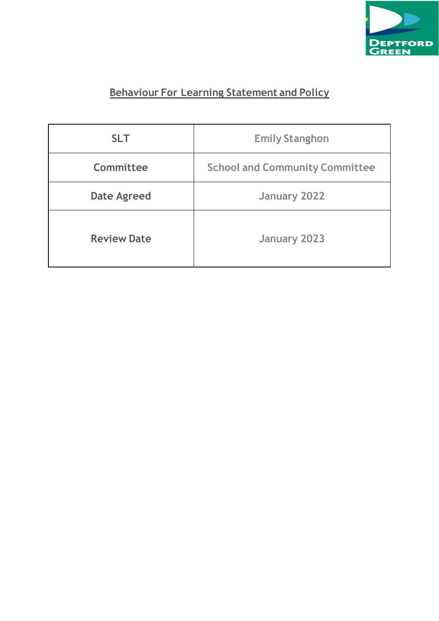

# **Behaviour For Learning Statement and Policy**

| <b>SLT</b>         | <b>Emily Stanghon</b>                 |  |  |
|--------------------|---------------------------------------|--|--|
| Committee          | <b>School and Community Committee</b> |  |  |
| <b>Date Agreed</b> | January 2022                          |  |  |
| <b>Review Date</b> | <b>January 2023</b>                   |  |  |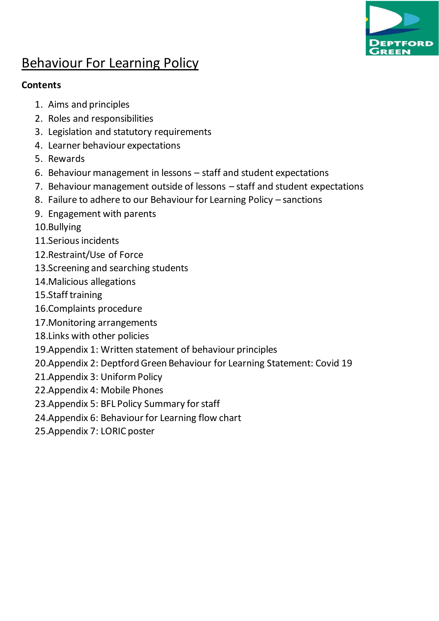

# Behaviour For Learning Policy

### **Contents**

- 1. Aims and principles
- 2. Roles and responsibilities
- 3. Legislation and statutory requirements
- 4. Learner behaviour expectations
- 5. Rewards
- 6. Behaviour management in lessons staff and student expectations
- 7. Behaviour management outside of lessons staff and student expectations
- 8. Failure to adhere to our Behaviour for Learning Policy sanctions
- 9. Engagement with parents
- 10.Bullying
- 11.Serious incidents
- 12.Restraint/Use of Force
- 13.Screening and searching students
- 14.Malicious allegations
- 15.Staff training
- 16.Complaints procedure
- 17.Monitoring arrangements
- 18.Links with other policies
- 19.Appendix 1: Written statement of behaviour principles
- 20.Appendix 2: Deptford Green Behaviour for Learning Statement: Covid 19
- 21.Appendix 3: Uniform Policy
- 22.Appendix 4: Mobile Phones
- 23.Appendix 5: BFL Policy Summary for staff
- 24.Appendix 6: Behaviour for Learning flow chart
- 25.Appendix 7: LORIC poster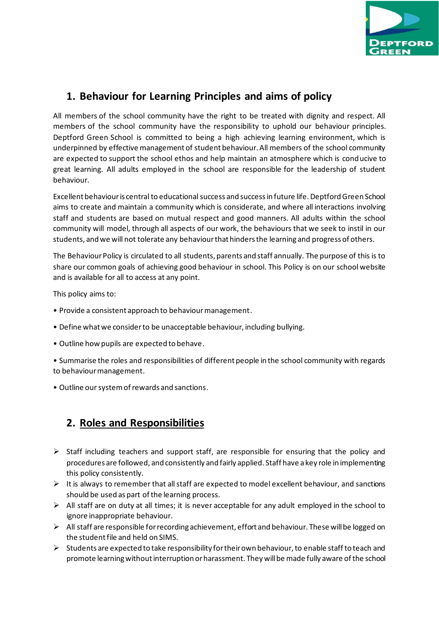

### **1. Behaviour for Learning Principles and aims of policy**

All members of the school community have the right to be treated with dignity and respect. All members of the school community have the responsibility to uphold our behaviour principles. Deptford Green School is committed to being a high achieving learning environment, which is underpinned by effective management of student behaviour. All members of the school community are expected to support the school ethos and help maintain an atmosphere which is conducive to great learning. All adults employed in the school are responsible for the leadership of student behaviour.

Excellent behaviour is central to educational success and success in future life. Deptford Green School aims to create and maintain a community which is considerate, and where all interactions involving staff and students are based on mutual respect and good manners. All adults within the school community will model, through all aspects of our work, the behaviours that we seek to instil in our students, and we will not tolerate any behaviour that hinders the learning and progress of others.

The Behaviour Policy is circulated to all students, parents and staff annually. The purpose of this is to share our common goals of achieving good behaviour in school. This Policy is on our school website and is available for all to access at any point.

This policy aims to:

- Provide a consistent approach to behaviour management.
- Define what we consider to be unacceptable behaviour, including bullying.
- Outline how pupils are expected to behave.
- Summarise the roles and responsibilities of different people in the school community with regards to behaviour management.
- Outline our system of rewards and sanctions.

### **2. Roles and Responsibilities**

- $\triangleright$  Staff including teachers and support staff, are responsible for ensuring that the policy and procedures are followed, and consistently and fairly applied. Staff have a key role in implementing this policy consistently.
- $\triangleright$  It is always to remember that all staff are expected to model excellent behaviour, and sanctions should be used as part of the learning process.
- $\triangleright$  All staff are on duty at all times; it is never acceptable for any adult employed in the school to ignore inappropriate behaviour.
- ➢ All staff are responsible for recording achievement, effort and behaviour. These will be logged on the student file and held on SIMS.
- $\triangleright$  Students are expected to take responsibility for their own behaviour, to enable staff to teach and promote learning without interruption or harassment. They will be made fully aware of the school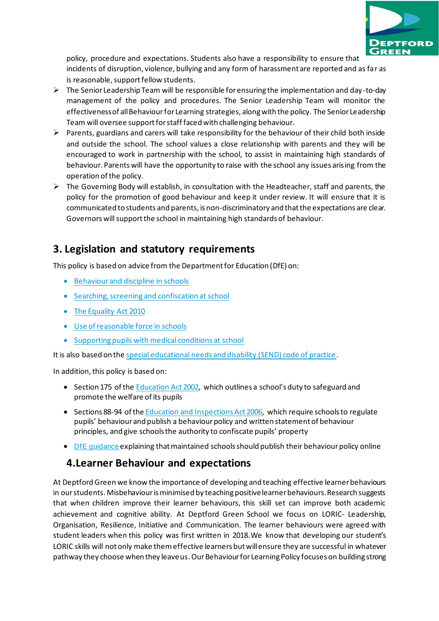

policy, procedure and expectations. Students also have a responsibility to ensure that incidents of disruption, violence, bullying and any form of harassment are reported and as far as is reasonable, support fellow students.

- $\triangleright$  The Senior Leadership Team will be responsible for ensuring the implementation and day-to-day management of the policy and procedures. The Senior Leadership Team will monitor the effectiveness of all Behaviour for Learning strategies, along with the policy. The Senior Leadership Team will oversee support for staff faced with challenging behaviour.
- $\triangleright$  Parents, guardians and carers will take responsibility for the behaviour of their child both inside and outside the school. The school values a close relationship with parents and they will be encouraged to work in partnership with the school, to assist in maintaining high standards of behaviour. Parents will have the opportunity to raise with the school any issues arising from the operation of the policy.
- $\triangleright$  The Governing Body will establish, in consultation with the Headteacher, staff and parents, the policy for the promotion of good behaviour and keep it under review. It will ensure that it is communicated to students and parents, is non-discriminatory and that the expectations are clear. Governors will support the school in maintaining high standards of behaviour.

### **3. Legislation and statutory requirements**

This policy is based on advice from the Department for Education (DfE) on:

- [Behaviour and discipline in schools](https://www.gov.uk/government/publications/behaviour-and-discipline-in-schools)
- [Searching, screening and confiscation at school](https://www.gov.uk/government/publications/searching-screening-and-confiscation)
- [The Equality Act 2010](https://www.gov.uk/government/publications/equality-act-2010-advice-for-schools)
- [Use of reasonable force in schools](https://www.gov.uk/government/publications/use-of-reasonable-force-in-schools)
- [Supporting pupils with medical conditions at school](https://www.gov.uk/government/publications/supporting-pupils-at-school-with-medical-conditions--3)

It is also based on th[e special educational needs and disability \(SEND\) code of practice.](https://www.gov.uk/government/publications/send-code-of-practice-0-to-25)

In addition, this policy is based on:

- Section 175 of the [Education Act 2002](http://www.legislation.gov.uk/ukpga/2002/32/section/175), which outlines a school's duty to safeguard and promote the welfare of its pupils
- Sections 88-94 of th[e Education and Inspections Act 2006,](http://www.legislation.gov.uk/ukpga/2006/40/section/88) which require schools to regulate pupils' behaviour and publish a behaviour policy and written statement of behaviour principles, and give schools the authority to confiscate pupils' property
- [DfE guidance](https://www.gov.uk/guidance/what-maintained-schools-must-publish-online#behaviour-policy) explaining that maintained schools should publish their behaviour policy online

### **4.Learner Behaviour and expectations**

At Deptford Green we know the importance of developing and teaching effective learner behaviours in our students. Misbehaviour is minimised by teaching positive learner behaviours. Research suggests that when children improve their learner behaviours, this skill set can improve both academic achievement and cognitive ability. At Deptford Green School we focus on LORIC- Leadership, Organisation, Resilience, Initiative and Communication. The learner behaviours were agreed with student leaders when this policy was first written in 2018.We know that developing our student's LORIC skills will not only make them effective learners but will ensure they are successful in whatever pathway they choose when they leave us. Our Behaviour for Learning Policy focuses on building strong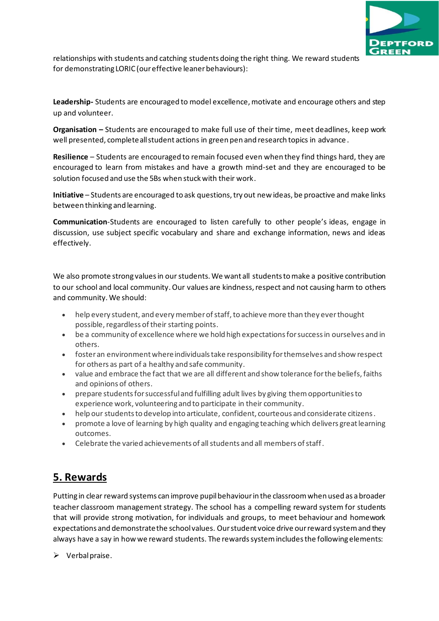

relationships with students and catching students doing the right thing. We reward students for demonstrating LORIC (our effective leaner behaviours):

**Leadership-** Students are encouraged to model excellence, motivate and encourage others and step up and volunteer.

**Organisation –** Students are encouraged to make full use of their time, meet deadlines, keep work well presented, complete all student actions in green pen and research topics in advance .

**Resilience** – Students are encouraged to remain focused even when they find things hard, they are encouraged to learn from mistakes and have a growth mind-set and they are encouraged to be solution focused and use the 5Bs when stuck with their work.

**Initiative** – Students are encouraged to ask questions, try out new ideas, be proactive and make links between thinking and learning.

**Communication**-Students are encouraged to listen carefully to other people's ideas, engage in discussion, use subject specific vocabulary and share and exchange information, news and ideas effectively.

We also promote strong values in our students. We want all students to make a positive contribution to our school and local community. Our values are kindness, respect and not causing harm to others and community. We should:

- help every student, and every member of staff, to achieve more than they ever thought possible, regardless of their starting points.
- be a community of excellence where we hold high expectations for success in ourselves and in others.
- foster an environment where individuals take responsibility for themselves and show respect for others as part of a healthy and safe community.
- value and embrace the fact that we are all different and show tolerance for the beliefs, faiths and opinions of others.
- prepare students for successful and fulfilling adult lives by giving them opportunities to experience work, volunteering and to participate in their community.
- help our students to develop into articulate, confident, courteous and considerate citizens.
- promote a love of learning by high quality and engaging teaching which delivers great learning outcomes.
- Celebrate the varied achievements of all students and all members of staff.

# **5. Rewards**

Putting in clear reward systems can improve pupil behaviour in the classroom when used as a broader teacher classroom management strategy. The school has a compelling reward system for students that will provide strong motivation, for individuals and groups, to meet behaviour and homework expectations and demonstrate the school values. Our student voice drive our reward system and they always have a say in how we reward students. The rewards system includes the following elements:

 $\triangleright$  Verbal praise.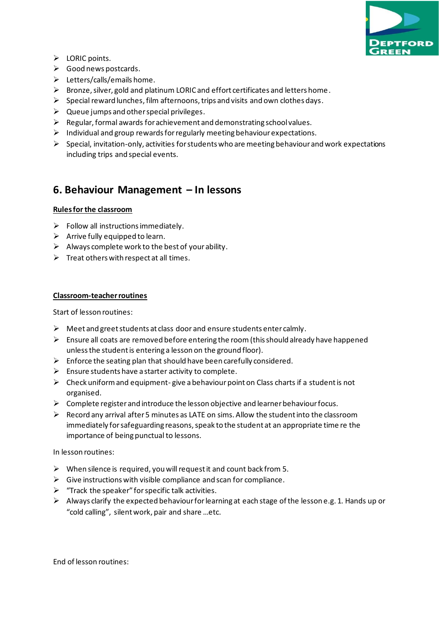

- ➢ LORIC points.
- $\triangleright$  Good news postcards.
- $\triangleright$  Letters/calls/emails home.
- ➢ Bronze, silver, gold and platinum LORIC and effort certificates and letters home.
- ➢ Special reward lunches, film afternoons, trips and visits and own clothes days.
- $\triangleright$  Queue jumps and other special privileges.
- $\triangleright$  Regular, formal awards for achievement and demonstrating school values.
- ➢ Individual and group rewards for regularly meeting behaviour expectations.
- $\triangleright$  Special, invitation-only, activities for students who are meeting behaviour and work expectations including trips and special events.

### **6. Behaviour Management – In lessons**

#### **Rules for the classroom**

- $\triangleright$  Follow all instructions immediately.
- $\triangleright$  Arrive fully equipped to learn.
- $\triangleright$  Always complete work to the best of your ability.
- $\triangleright$  Treat others with respect at all times.

#### **Classroom-teacherroutines**

Start of lesson routines:

- ➢ Meet and greet students at class door and ensure students enter calmly.
- $\triangleright$  Ensure all coats are removed before entering the room (this should already have happened unless the student is entering a lesson on the ground floor).
- $\triangleright$  Enforce the seating plan that should have been carefully considered.
- $\triangleright$  Ensure students have a starter activity to complete.
- $\triangleright$  Check uniform and equipment-give a behaviour point on Class charts if a student is not organised.
- $\triangleright$  Complete register and introduce the lesson objective and learner behaviour focus.
- ➢ Record any arrival after 5 minutes as LATE on sims. Allow the student into the classroom immediately for safeguarding reasons, speak to the student at an appropriate time re the importance of being punctual to lessons.

In lesson routines:

- $\triangleright$  When silence is required, you will request it and count back from 5.
- $\triangleright$  Give instructions with visible compliance and scan for compliance.
- $\triangleright$  "Track the speaker" for specific talk activities.
- $\triangleright$  Always clarify the expected behaviour for learning at each stage of the lesson e.g. 1. Hands up or "cold calling", silent work, pair and share …etc.

End of lesson routines: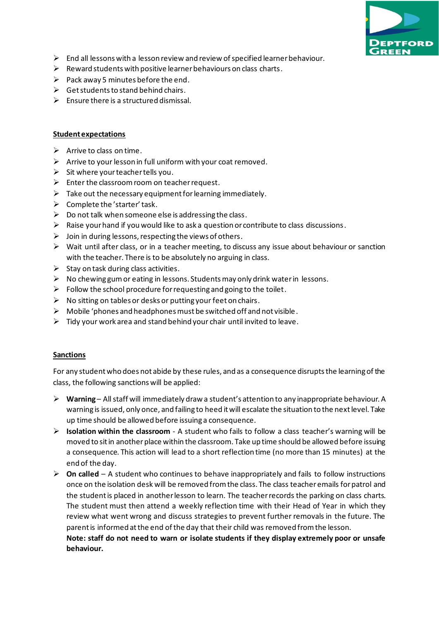

- $\triangleright$  End all lessons with a lesson review and review of specified learner behaviour.
- $\triangleright$  Reward students with positive learner behaviours on class charts.
- $\triangleright$  Pack away 5 minutes before the end.
- $\triangleright$  Get students to stand behind chairs.
- $\triangleright$  Ensure there is a structured dismissal.

#### **Student expectations**

- $\triangleright$  Arrive to class on time.
- $\triangleright$  Arrive to your lesson in full uniform with your coat removed.
- $\triangleright$  Sit where your teacher tells you.
- $\triangleright$  Enter the classroom room on teacher request.
- $\triangleright$  Take out the necessary equipment for learning immediately.
- $\triangleright$  Complete the 'starter' task.
- $\triangleright$  Do not talk when someone else is addressing the class.
- $\triangleright$  Raise your hand if you would like to ask a question or contribute to class discussions.
- $\triangleright$  Join in during lessons, respecting the views of others.
- $\triangleright$  Wait until after class, or in a teacher meeting, to discuss any issue about behaviour or sanction with the teacher. There is to be absolutely no arguing in class.
- $\triangleright$  Stay on task during class activities.
- $\triangleright$  No chewing gum or eating in lessons. Students may only drink water in lessons.
- $\triangleright$  Follow the school procedure for requesting and going to the toilet.
- $\triangleright$  No sitting on tables or desks or putting your feet on chairs.
- $\triangleright$  Mobile 'phones and headphones must be switched off and not visible.
- $\triangleright$  Tidy your work area and stand behind your chair until invited to leave.

#### **Sanctions**

**behaviour.**

For any student who does not abide by these rules, and as a consequence disrupts the learning of the class, the following sanctions will be applied:

- ➢ **Warning** All staff will immediately draw a student's attention to any inappropriate behaviour. A warning is issued, only once, and failing to heed it will escalate the situation to the next level. Take up time should be allowed before issuing a consequence.
- ➢ **Isolation within the classroom** A student who fails to follow a class teacher's warning will be moved to sit in another place within the classroom. Take up time should be allowed before issuing a consequence. This action will lead to a short reflection time (no more than 15 minutes) at the end of the day.
- ➢ **On called** A student who continues to behave inappropriately and fails to follow instructions once on the isolation desk will be removed from the class. The class teacher emails for patrol and the student is placed in another lesson to learn. The teacher records the parking on class charts. The student must then attend a weekly reflection time with their Head of Year in which they review what went wrong and discuss strategies to prevent further removals in the future. The parent is informed at the end of the day that their child was removed from the lesson. **Note: staff do not need to warn or isolate students if they display extremely poor or unsafe**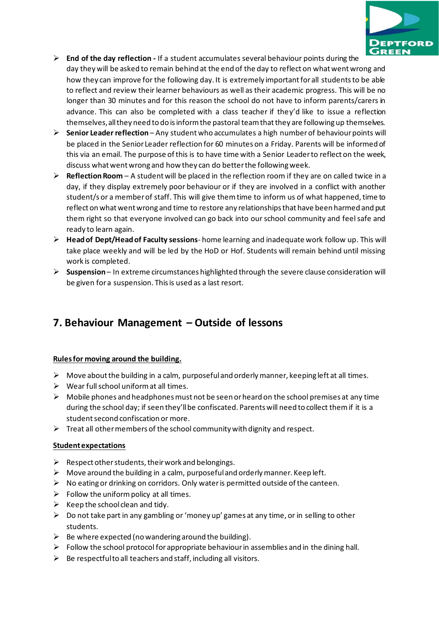

- ➢ **End of the day reflection -** If a student accumulates several behaviour points during the day they will be asked to remain behind at the end of the day to reflect on what went wrong and how they can improve for the following day. It is extremely important for all students to be able to reflect and review their learner behaviours as well as their academic progress. This will be no longer than 30 minutes and for this reason the school do not have to inform parents/carers in advance. This can also be completed with a class teacher if they'd like to issue a reflection themselves, all they need to do is inform the pastoral team that they are following up themselves.
- ➢ **Senior Leader reflection** Any student who accumulates a high number of behaviour points will be placed in the Senior Leader reflection for 60 minutes on a Friday. Parents will be informed of this via an email. The purpose of this is to have time with a Senior Leader to reflect on the week, discuss what went wrong and how they can do better the following week.
- ➢ **Reflection Room** A student will be placed in the reflection room if they are on called twice in a day, if they display extremely poor behaviour or if they are involved in a conflict with another student/s or a member of staff. This will give them time to inform us of what happened, time to reflect on what went wrong and time to restore any relationships that have been harmed and put them right so that everyone involved can go back into our school community and feel safe and ready to learn again.
- ➢ **Head of Dept/Head of Faculty sessions** home learning and inadequate work follow up. This will take place weekly and will be led by the HoD or Hof. Students will remain behind until missing work is completed.
- ➢ **Suspension** In extreme circumstances highlighted through the severe clause consideration will be given for a suspension. This is used as a last resort.

### **7. Behaviour Management – Outside of lessons**

#### **Rules for moving around the building.**

- ➢ Move about the building in a calm, purposeful and orderly manner, keeping left at all times.
- $\triangleright$  Wear full school uniform at all times.
- $\triangleright$  Mobile phones and headphones must not be seen or heard on the school premises at any time during the school day; if seen they'll be confiscated. Parents will need to collect them if it is a student second confiscation or more.
- $\triangleright$  Treat all other members of the school community with dignity and respect.

#### **Student expectations**

- $\triangleright$  Respect other students, their work and belongings.
- $\triangleright$  Move around the building in a calm, purposeful and orderly manner. Keep left.
- $\triangleright$  No eating or drinking on corridors. Only water is permitted outside of the canteen.
- $\triangleright$  Follow the uniform policy at all times.
- $\triangleright$  Keep the school clean and tidy.
- $\triangleright$  Do not take part in any gambling or 'money up' games at any time, or in selling to other students.
- $\triangleright$  Be where expected (no wandering around the building).
- $\triangleright$  Follow the school protocol for appropriate behaviour in assemblies and in the dining hall.
- $\triangleright$  Be respectful to all teachers and staff, including all visitors.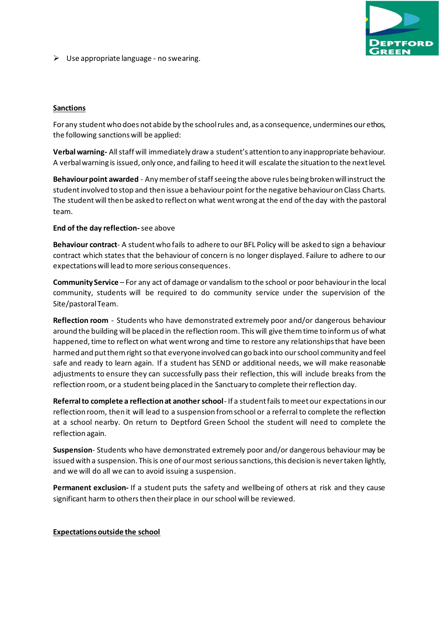

 $\triangleright$  Use appropriate language - no swearing.

#### **Sanctions**

For any student who does not abide by the school rules and, as a consequence, undermines our ethos, the following sanctions will be applied:

**Verbal warning-** All staff will immediately draw a student's attention to any inappropriate behaviour. A verbal warning is issued, only once, and failing to heed it will escalate the situation to the next level.

**Behaviour point awarded** - Any member of staff seeing the above rules being broken will instruct the student involved to stop and then issue a behaviour point for the negative behaviour on Class Charts. The student will then be asked to reflect on what went wrong at the end of the day with the pastoral team.

#### **End of the day reflection-**see above

**Behaviour contract**- A student who fails to adhere to our BFL Policy will be asked to sign a behaviour contract which states that the behaviour of concern is no longer displayed. Failure to adhere to our expectations will lead to more serious consequences.

**Community Service** – For any act of damage or vandalism to the school or poor behaviour in the local community, students will be required to do community service under the supervision of the Site/pastoral Team.

**Reflection room** - Students who have demonstrated extremely poor and/or dangerous behaviour around the building will be placed in the reflection room. This will give them time to inform us of what happened, time to reflect on what went wrong and time to restore any relationships that have been harmed and put them right so that everyone involved can go back into our school community and feel safe and ready to learn again. If a student has SEND or additional needs, we will make reasonable adjustments to ensure they can successfully pass their reflection, this will include breaks from the reflection room, or a student being placed in the Sanctuary to complete their reflection day.

**Referral to complete a reflection at another school**- If a student fails to meet our expectations in our reflection room, then it will lead to a suspension from school or a referral to complete the reflection at a school nearby. On return to Deptford Green School the student will need to complete the reflection again.

**Suspension**- Students who have demonstrated extremely poor and/or dangerous behaviour may be issued with a suspension. This is one of our most serious sanctions, this decision is never taken lightly, and we will do all we can to avoid issuing a suspension.

**Permanent exclusion-** If a student puts the safety and wellbeing of others at risk and they cause significant harm to others then their place in our school will be reviewed.

#### **Expectations outside the school**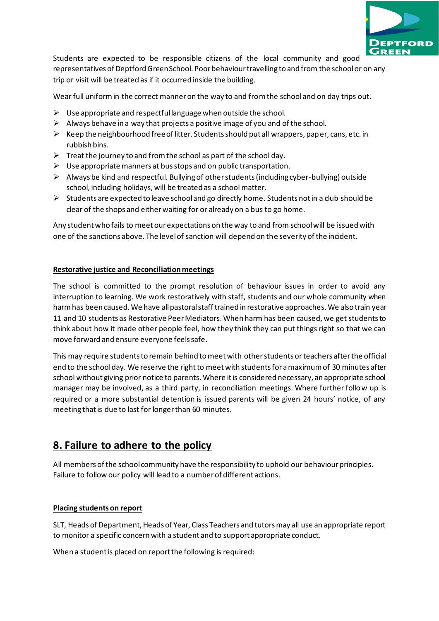

Students are expected to be responsible citizens of the local community and good representatives of Deptford Green School. Poor behaviour travelling to and from the school or on any trip or visit will be treated as if it occurred inside the building.

Wear full uniform in the correct manner on the way to and from the school and on day trips out.

- $\triangleright$  Use appropriate and respectful language when outside the school.
- $\triangleright$  Always behave in a way that projects a positive image of you and of the school.
- $\triangleright$  Keep the neighbourhood free of litter. Students should put all wrappers, paper, cans, etc. in rubbish bins.
- $\triangleright$  Treat the journey to and from the school as part of the school day.
- $\triangleright$  Use appropriate manners at bus stops and on public transportation.
- $\triangleright$  Always be kind and respectful. Bullying of other students (including cyber-bullying) outside school, including holidays, will be treated as a school matter.
- $\triangleright$  Students are expected to leave school and go directly home. Students not in a club should be clear of the shops and either waiting for or already on a bus to go home.

Any student who fails to meet our expectations on the way to and from school will be issued with one of the sanctions above. The level of sanction will depend on the severity of the incident.

#### **Restorative justice and Reconciliation meetings**

The school is committed to the prompt resolution of behaviour issues in order to avoid any interruption to learning. We work restoratively with staff, students and our whole community when harm has been caused. We have all pastoral staff trained in restorative approaches. We also train year 11 and 10 students as Restorative Peer Mediators. When harm has been caused, we get students to think about how it made other people feel, how they think they can put things right so that we can move forward and ensure everyone feels safe.

This may require students to remain behind to meet with other students or teachers after the official end to the school day. We reserve the right to meet with students for a maximum of 30 minutes after school without giving prior notice to parents. Where it is considered necessary, an appropriate school manager may be involved, as a third party, in reconciliation meetings. Where further follow up is required or a more substantial detention is issued parents will be given 24 hours' notice, of any meeting that is due to last for longer than 60 minutes.

### **8. Failure to adhere to the policy**

All members of the school community have the responsibility to uphold our behaviour principles. Failure to follow our policy will lead to a number of different actions.

### **Placing students on report**

SLT, Heads of Department, Heads of Year, Class Teachers and tutors may all use an appropriate report to monitor a specific concern with a student and to support appropriate conduct.

When a student is placed on report the following is required: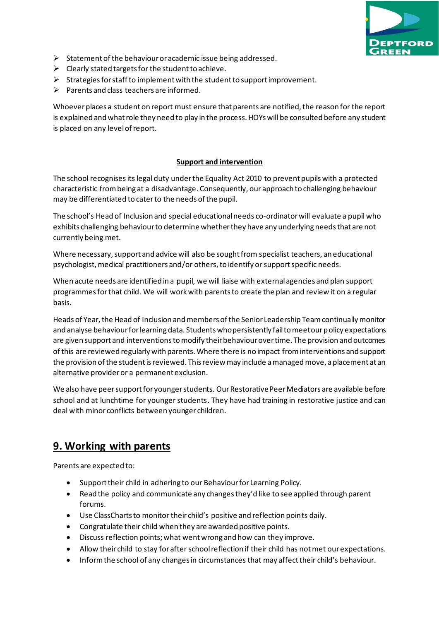

- ➢ Statement of the behaviour or academic issue being addressed.
- $\triangleright$  Clearly stated targets for the student to achieve.
- ➢ Strategies for staff to implement with the student to support improvement.
- $\triangleright$  Parents and class teachers are informed.

Whoever places a student on report must ensure that parents are notified, the reason for the report is explained and what role they need to play in the process. HOYs will be consulted before any student is placed on any level of report.

#### **Support and intervention**

The school recognisesits legal duty under the Equality Act 2010 to prevent pupils with a protected characteristic from being at a disadvantage. Consequently, our approach to challenging behaviour may be differentiated to cater to the needs of the pupil.

The school's Head of Inclusion and special educational needs co-ordinator will evaluate a pupil who exhibits challenging behaviour to determine whetherthey have any underlying needs that are not currently being met.

Where necessary, support and advice will also be sought from specialist teachers, an educational psychologist, medical practitioners and/or others, to identify or support specific needs.

When acute needs are identified in a pupil, we will liaise with external agencies and plan support programmes for that child. We will work with parents to create the plan and review it on a regular basis.

Heads of Year, the Head of Inclusion and members of the Senior Leadership Team continually monitor and analyse behaviour for learning data. Students who persistently fail to meet our policy expectations are given support and interventions to modify their behaviour over time. The provision and outcomes of this are reviewed regularly with parents. Where there is no impact from interventions and support the provision of the student is reviewed. This review may include a managed move, a placement at an alternative provider or a permanent exclusion.

We also have peer support for younger students. Our Restorative Peer Mediators are available before school and at lunchtime for younger students. They have had training in restorative justice and can deal with minor conflicts between younger children.

### **9. Working with parents**

Parents are expected to:

- Support their child in adhering to our Behaviour for Learning Policy.
- Read the policy and communicate any changes they'd like to see applied through parent forums.
- Use ClassCharts to monitor their child's positive and reflection points daily.
- Congratulate their child when they are awarded positive points.
- Discuss reflection points; what went wrong and how can they improve.
- Allow their child to stay for after school reflection if their child has not met our expectations.
- Inform the school of any changes in circumstances that may affect their child's behaviour.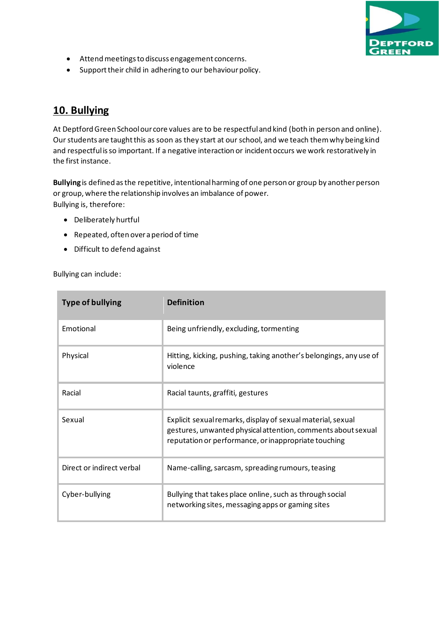

- Attend meetings to discuss engagement concerns.
- Support their child in adhering to our behaviour policy.

# **10. Bullying**

At Deptford Green School our core values are to be respectful and kind (both in person and online). Our students are taught this as soon as they start at our school, and we teach them why being kind and respectful is so important. If a negative interaction or incident occurs we work restoratively in the first instance.

**Bullying** is defined asthe repetitive, intentional harming of one person or group by another person or group, where the relationship involves an imbalance of power. Bullying is, therefore:

- Deliberately hurtful
- Repeated, often over a period of time
- Difficult to defend against

Bullying can include:

| <b>Type of bullying</b>   | <b>Definition</b>                                                                                                                                                                   |  |  |
|---------------------------|-------------------------------------------------------------------------------------------------------------------------------------------------------------------------------------|--|--|
| Emotional                 | Being unfriendly, excluding, tormenting                                                                                                                                             |  |  |
| Physical                  | Hitting, kicking, pushing, taking another's belongings, any use of<br>violence                                                                                                      |  |  |
| Racial                    | Racial taunts, graffiti, gestures                                                                                                                                                   |  |  |
| Sexual                    | Explicit sexual remarks, display of sexual material, sexual<br>gestures, unwanted physical attention, comments about sexual<br>reputation or performance, or inappropriate touching |  |  |
| Direct or indirect verbal | Name-calling, sarcasm, spreading rumours, teasing                                                                                                                                   |  |  |
| Cyber-bullying            | Bullying that takes place online, such as through social<br>networking sites, messaging apps or gaming sites                                                                        |  |  |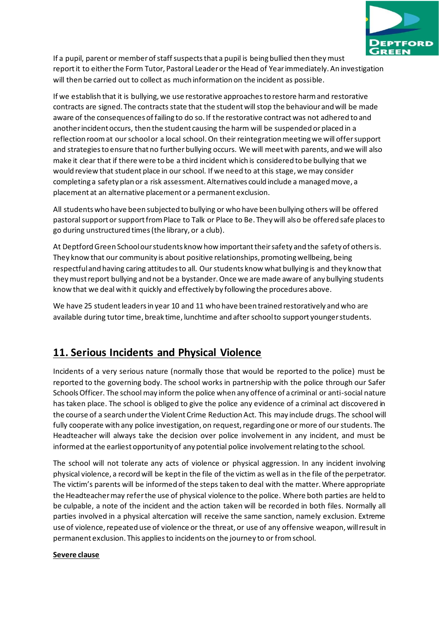

If a pupil, parent or member of staff suspects that a pupil is being bullied then they must report it to either the Form Tutor, Pastoral Leader or the Head of Year immediately. An investigation will then be carried out to collect as much information on the incident as possible.

If we establish that it is bullying, we use restorative approaches to restore harm and restorative contracts are signed. The contracts state that the student will stop the behaviour and will be made aware of the consequences of failing to do so. If the restorative contract was not adhered to and another incident occurs, then the student causing the harm will be suspended or placed in a reflection room at our school or a local school. On their reintegration meeting we will offer support and strategies to ensure that no further bullying occurs. We will meet with parents, and we will also make it clear that if there were to be a third incident which is considered to be bullying that we would review that student place in our school. If we need to at this stage, we may consider completing a safety plan or a risk assessment. Alternatives could include a managed move, a placement at an alternative placement or a permanent exclusion.

All students who have been subjected to bullying or who have been bullying others will be offered pastoral support or support from Place to Talk or Place to Be. They will also be offered safe places to go during unstructured times (the library, or a club).

At Deptford Green School our students know how important their safety and the safety of others is. They know that our community is about positive relationships, promoting wellbeing, being respectful and having caring attitudes to all. Our students know what bullying is and they know that they must report bullying and not be a bystander. Once we are made aware of any bullying students know that we deal with it quickly and effectively by following the procedures above.

We have 25 student leaders in year 10 and 11 who have been trained restoratively and who are available during tutor time, break time, lunchtime and after school to support younger students.

# **11. Serious Incidents and Physical Violence**

Incidents of a very serious nature (normally those that would be reported to the police) must be reported to the governing body. The school works in partnership with the police through our Safer Schools Officer. The school may inform the police when any offence of a criminal or anti-social nature has taken place. The school is obliged to give the police any evidence of a criminal act discovered in the course of a search under the Violent Crime Reduction Act. This may include drugs. The school will fully cooperate with any police investigation, on request, regarding one or more of our students. The Headteacher will always take the decision over police involvement in any incident, and must be informed at the earliest opportunity of any potential police involvement relating to the school.

The school will not tolerate any acts of violence or physical aggression. In any incident involving physical violence, a record will be kept in the file of the victim as well as in the file of the perpetrator. The victim's parents will be informed of the steps taken to deal with the matter. Where appropriate the Headteacher may refer the use of physical violence to the police. Where both parties are held to be culpable, a note of the incident and the action taken will be recorded in both files. Normally all parties involved in a physical altercation will receive the same sanction, namely exclusion. Extreme use of violence, repeated use of violence or the threat, or use of any offensive weapon, will result in permanent exclusion. This applies to incidents on the journey to or from school.

#### **Severe clause**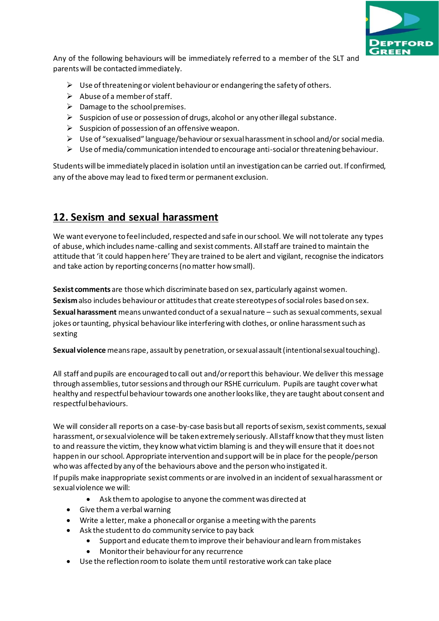

Any of the following behaviours will be immediately referred to a member of the SLT and parents will be contacted immediately.

- $\triangleright$  Use of threatening or violent behaviour or endangering the safety of others.
- $\triangleright$  Abuse of a member of staff.
- $\triangleright$  Damage to the school premises.
- $\triangleright$  Suspicion of use or possession of drugs, alcohol or any other illegal substance.
- $\triangleright$  Suspicion of possession of an offensive weapon.
- ➢ Use of "sexualised" language/behaviour or sexual harassment in school and/or social media.
- ➢ Use of media/communication intended to encourage anti-social or threatening behaviour.

Students will be immediately placed in isolation until an investigation can be carried out. If confirmed, any of the above may lead to fixed term or permanent exclusion.

# **12. Sexism and sexual harassment**

We want everyone to feel included, respected and safe in our school. We will not tolerate any types of abuse, which includes name-calling and sexist comments. All staff are trained to maintain the attitude that 'it could happen here' They are trained to be alert and vigilant, recognise the indicators and take action by reporting concerns (no matter how small).

**Sexist comments** are those which discriminate based on sex, particularly against women. Sexismalso includes behaviour or attitudes that create stereotypes of social roles based on sex. **Sexual harassment** means unwanted conduct of a sexual nature – such as sexual comments, sexual jokes or taunting, physical behaviour like interfering with clothes, or online harassment such as sexting

**Sexual violence** means rape, assault by penetration, or sexual assault (intentional sexual touching).

All staff and pupils are encouraged to call out and/or report this behaviour. We deliver this message through assemblies, tutor sessions and through our RSHE curriculum. Pupils are taught cover what healthy and respectfulbehaviourtowards one another looks like, they are taught about consent and respectful behaviours.

We will consider all reports on a case-by-case basis but all reports of sexism, sexist comments, sexual harassment, or sexual violence will be taken extremely seriously. All staff know that they must listen to and reassure the victim, they know what victim blaming is and they will ensure that it does not happen in our school. Appropriate intervention and support will be in place for the people/person who was affected by any of the behaviours above and the person who instigated it.

If pupils make inappropriate sexist comments or are involved in an incident of sexual harassment or sexual violence we will:

- Ask themto apologise to anyone the comment was directed at
- Give them a verbal warning
- Write a letter, make a phonecall or organise a meeting with the parents
- Ask the student to do community service to pay back
	- Support and educate them to improve their behaviour and learn from mistakes
		- Monitor their behaviourfor any recurrence
- Use the reflection room to isolate them until restorative work can take place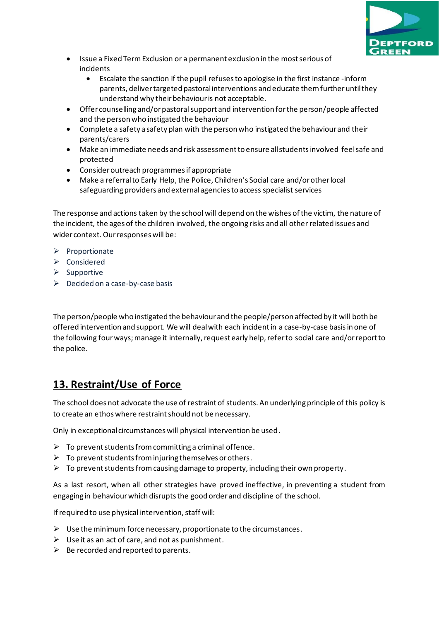

- Issue a Fixed Term Exclusion or a permanent exclusion in the most serious of incidents
	- Escalate the sanction if the pupil refuses to apologise in the first instance -inform parents, deliver targeted pastoral interventions and educate them further until they understand why their behaviour is not acceptable.
- Offer counselling and/or pastoral support and intervention for the person/people affected and the person who instigated the behaviour
- Complete a safety a safety plan with the person who instigated the behaviour and their parents/carers
- Make an immediate needs and risk assessment to ensure all students involved feel safe and protected
- Consider outreach programmes if appropriate
- Make a referral to Early Help, the Police, Children's Social care and/or other local safeguarding providers and external agencies to access specialist services

The response and actions taken by the school will depend on the wishes of the victim, the nature of the incident, the ages of the children involved, the ongoing risks and all other related issues and wider context. Our responses will be:

- ➢ Proportionate
- ➢ Considered
- ➢ Supportive
- $\triangleright$  Decided on a case-by-case basis

The person/people who instigated the behaviour and the people/person affected by it will both be offered intervention and support. We will deal with each incident in a case-by-case basisin one of the following four ways; manage it internally, request early help, refer to social care and/or report to the police.

# **13. Restraint/Use of Force**

The school does not advocate the use of restraint of students. An underlying principle of this policy is to create an ethos where restraint should not be necessary.

Only in exceptional circumstances will physical intervention be used.

- $\triangleright$  To prevent students from committing a criminal offence.
- $\triangleright$  To prevent students from injuring themselves or others.
- $\triangleright$  To prevent students from causing damage to property, including their own property.

As a last resort, when all other strategies have proved ineffective, in preventing a student from engaging in behaviour which disrupts the good order and discipline of the school.

If required to use physical intervention, staff will:

- $\triangleright$  Use the minimum force necessary, proportionate to the circumstances.
- $\triangleright$  Use it as an act of care, and not as punishment.
- $\triangleright$  Be recorded and reported to parents.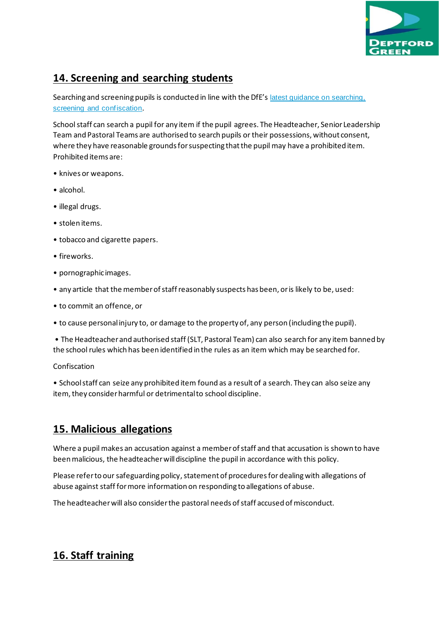

### **14. Screening and searching students**

Searching and screening pupils is conducted in line with the DfE's latest quidance on searching, [screening and confiscation](https://www.gov.uk/government/publications/searching-screening-and-confiscation).

School staff can search a pupil for any item if the pupil agrees. The Headteacher, Senior Leadership Team and Pastoral Teams are authorised to search pupils or their possessions, without consent, where they have reasonable grounds for suspecting that the pupil may have a prohibited item. Prohibited items are:

- knives or weapons.
- alcohol.
- illegal drugs.
- stolen items.
- tobacco and cigarette papers.
- fireworks.
- pornographic images.
- any article that the member of staff reasonably suspects has been, or is likely to be, used:
- to commit an offence, or
- to cause personal injury to, or damage to the property of, any person (including the pupil).

• The Headteacher and authorised staff (SLT, Pastoral Team) can also search for any item banned by the school rules which has been identified in the rules as an item which may be searched for.

Confiscation

• School staff can seize any prohibited item found as a result of a search. They can also seize any item, they consider harmful or detrimental to school discipline.

### **15. Malicious allegations**

Where a pupil makes an accusation against a member of staff and that accusation is shown to have been malicious, the headteacher will discipline the pupil in accordance with this policy.

Please refer to our safeguarding policy, statement of procedures for dealing with allegations of abuse against staff for more information on responding to allegations of abuse.

The headteacher will also consider the pastoral needs of staff accused of misconduct.

# **16. Staff training**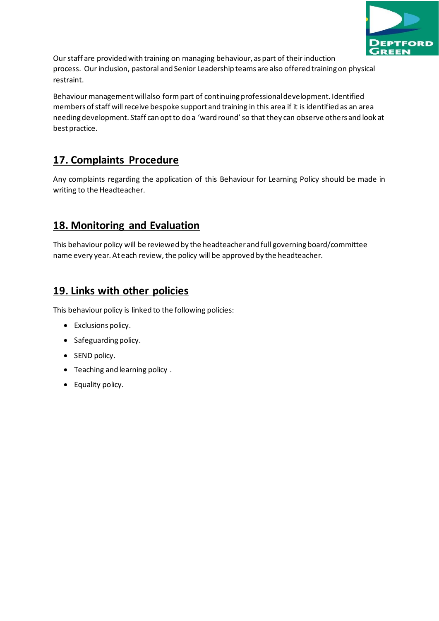

Our staff are provided with training on managing behaviour, as part of their induction process. Our inclusion, pastoral and Senior Leadership teams are also offered training on physical restraint.

Behaviour management will also form part of continuing professional development. Identified members of staff will receive bespoke support and training in this area if it is identified as an area needing development. Staff can opt to do a 'ward round' so that they can observe others and look at best practice.

# **17. Complaints Procedure**

Any complaints regarding the application of this Behaviour for Learning Policy should be made in writing to the Headteacher.

### **18. Monitoring and Evaluation**

This behaviour policy will be reviewed by the headteacher and full governing board/committee name every year. At each review, the policy will be approved by the headteacher.

### **19. Links with other policies**

This behaviour policy is linked to the following policies:

- Exclusions policy.
- Safeguarding policy.
- SEND policy.
- Teaching and learning policy .
- Equality policy.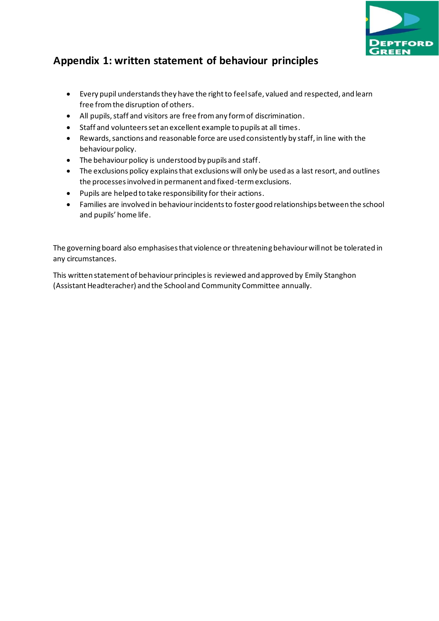

# **Appendix 1: written statement of behaviour principles**

- Every pupil understands they have the right to feel safe, valued and respected, and learn free from the disruption of others.
- All pupils, staff and visitors are free from any form of discrimination.
- Staff and volunteers set an excellent example to pupils at all times.
- Rewards, sanctions and reasonable force are used consistently by staff, in line with the behaviour policy.
- The behaviour policy is understood by pupils and staff.
- The exclusions policy explains that exclusions will only be used as a last resort, and outlines the processes involved in permanent and fixed-term exclusions.
- Pupils are helped to take responsibility for their actions.
- Families are involved in behaviour incidents to foster good relationships between the school and pupils' home life.

The governing board also emphasises that violence or threatening behaviour will not be tolerated in any circumstances.

This written statement of behaviour principles is reviewed and approved by Emily Stanghon (Assistant Headteracher) and the School and Community Committee annually.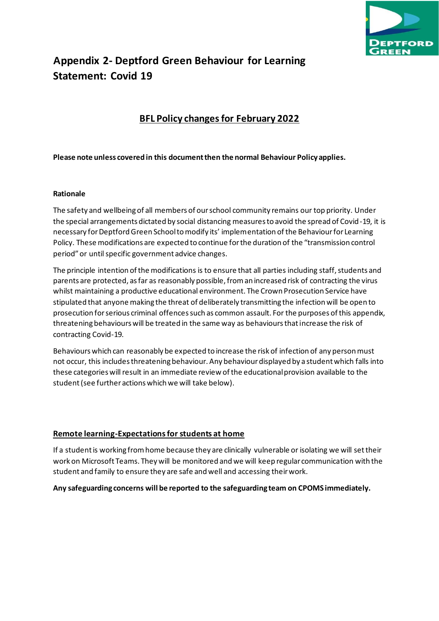

# **Appendix 2- Deptford Green Behaviour for Learning Statement: Covid 19**

### **BFL Policy changes for February 2022**

#### **Please note unless covered in this document then the normal Behaviour Policy applies.**

#### **Rationale**

The safety and wellbeing of all members of our school community remains our top priority. Under the special arrangements dictated by social distancing measures to avoid the spread of Covid-19, it is necessary for Deptford Green School to modify its' implementation of the Behaviour for Learning Policy. These modifications are expected to continue for the duration of the "transmission control period" or until specific government advice changes.

The principle intention of the modifications is to ensure that all parties including staff, students and parents are protected, as far as reasonably possible, from an increased risk of contracting the virus whilst maintaining a productive educational environment. The Crown Prosecution Service have stipulated that anyone making the threat of deliberately transmitting the infection will be open to prosecution for serious criminal offences such as common assault. For the purposes of this appendix, threatening behaviours will be treated in the same way as behaviours that increase the risk of contracting Covid-19.

Behaviours which can reasonably be expected to increase the risk of infection of any person must not occur, this includes threatening behaviour. Any behaviour displayed by a student which falls into these categories will result in an immediate review of the educational provision available to the student (see further actions which we will take below).

#### **Remote learning-Expectations for students at home**

If a student is working from home because they are clinically vulnerable or isolating we will set their work on Microsoft Teams. They will be monitored and we will keep regular communication with the student and family to ensure they are safe and well and accessing their work.

#### **Any safeguarding concerns will be reported to the safeguarding team on CPOMS immediately.**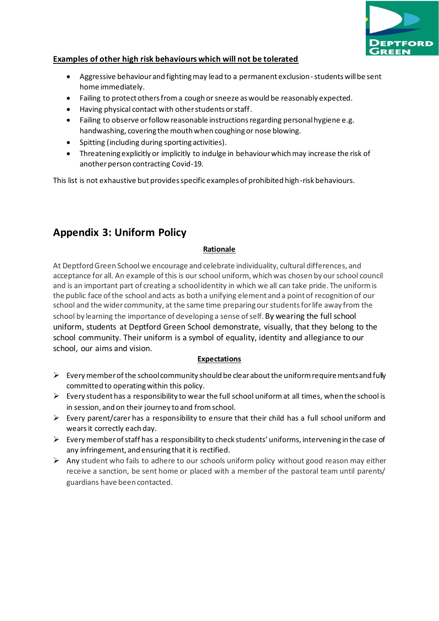

#### **Examples of other high risk behaviours which will not be tolerated**

- Aggressive behaviour and fighting may lead to a permanent exclusion-students will be sent home immediately.
- Failing to protect others from a cough or sneeze as would be reasonably expected.
- Having physical contact with other students or staff.
- Failing to observe or follow reasonable instructions regarding personal hygiene e.g. handwashing, covering the mouth when coughing or nose blowing.
- Spitting (including during sporting activities).
- Threatening explicitly or implicitly to indulge in behaviour which may increase the risk of another person contracting Covid-19.

This list is not exhaustive but provides specific examples of prohibited high-risk behaviours.

### **Appendix 3: Uniform Policy**

#### **Rationale**

At DeptfordGreen Schoolwe encourage and celebrate individuality, cultural differences, and acceptance for all. An example of this is our school uniform, which was chosen by our school council and is an important part of creating a schoolidentity in which we all can take pride. The uniformis the public face ofthe school and acts as both a unifying element and a point of recognition of our school and the wider community, at the same time preparingourstudentsforlife away from the school by learning the importance of developing a sense of self. By wearing the full school uniform, students at Deptford Green School demonstrate, visually, that they belong to the school community. Their uniform is a symbol of equality, identity and allegiance to our school, our aims and vision.

#### **Expectations**

- $\triangleright$  Every member of the school community should be clear about the uniform require ments and fully committed to operating within this policy.
- $\triangleright$  Every student has a responsibility to wear the full school uniform at all times, when the school is in session, and on their journey to and from school.
- $\triangleright$  Every parent/carer has a responsibility to ensure that their child has a full school uniform and wears it correctly each day.
- ➢ Every member of staff has a responsibility to check students' uniforms, intervening in the case of any infringement, and ensuring that it is rectified.
- $\triangleright$  Any student who fails to adhere to our schools uniform policy without good reason may either receive a sanction, be sent home or placed with a member of the pastoral team until parents/ guardians have been contacted.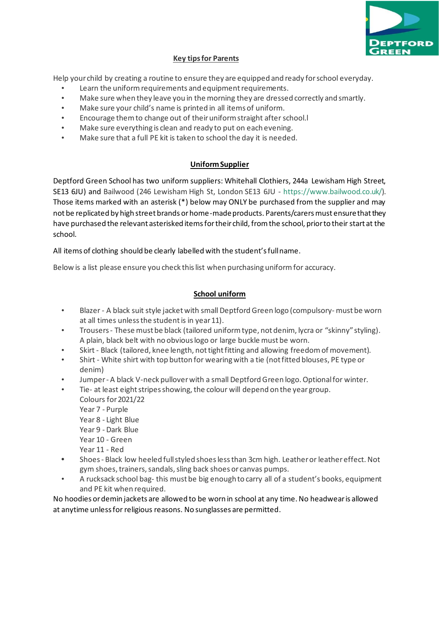

#### **Key tipsfor Parents**

Help your child by creating a routine to ensure they are equipped and ready forschool everyday.

- Learn the uniform requirements and equipment requirements.
- Make sure when they leave you in the morning they are dressed correctly and smartly.
- Make sure your child's name is printed in all items of uniform.
- Encourage them to change out of their uniform straight after school.
- Make sure everything is clean and ready to put on each evening.
- Make sure that a full PE kit is taken to school the day it is needed.

#### **Uniform Supplier**

Deptford Green School has two uniform suppliers: Whitehall Clothiers, 244a Lewisham High Street, SE13 6JU) and Bailwood (246 Lewisham High St, London SE13 6JU - [https://www.bailwood.co.uk/\)](https://www.bailwood.co.uk/). Those items marked with an asterisk (\*) below may ONLY be purchased from the supplier and may not be replicated by high street brands or home-made products. Parents/carers must ensure that they have purchased the relevant asterisked items for their child, from the school, prior to their start at the school.

All items of clothing should be clearly labelled with the student's full name.

Below is a list please ensure you check thislist when purchasing uniformfor accuracy.

### **School uniform**

- Blazer A black suit style jacket with small Deptford Green logo (compulsory-must be worn at all times unless the student is in year 11).
- Trousers- These mustbe black (tailored uniformtype, not denim, lycra or "skinny" styling). A plain, black belt with no obviouslogo or large buckle must be worn.
- Skirt Black (tailored, knee length, not tight fitting and allowing freedom of movement).
- Shirt White shirt with top button for wearingwith a tie (notfitted blouses, PE type or denim)
- Jumper A black V-neck pullover with a small Deptford Green logo. Optional for winter.
- Tie- at least eight stripes showing, the colour will depend on the year group. Colours for2021/22 Year 7 - Purple Year 8 - Light Blue Year 9 - Dark Blue Year 10 - Green Year 11 - Red **•** Shoes- Black low heeled fullstyled shoeslessthan 3cm high. Leatheror leather effect.Not gym shoes, trainers, sandals, sling back shoes or canvas pumps.
- A rucksack school bag- this must be big enough to carry all of a student's books, equipment and PE kit when required.

No hoodies or demin jackets are allowed to be worn in school at any time. No headwear is allowed at anytime unless for religious reasons. No sunglasses are permitted.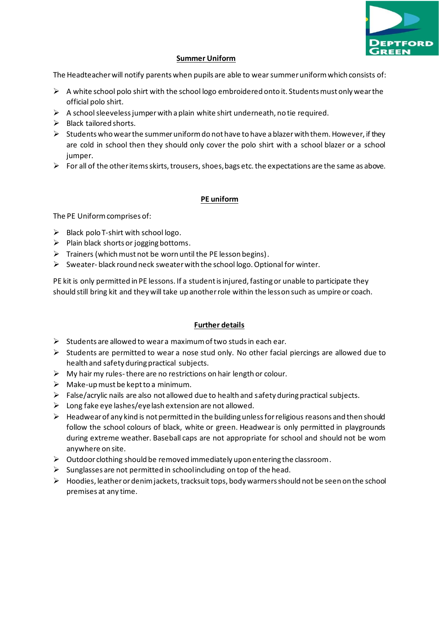

#### **Summer Uniform**

The Headteacher will notify parents when pupils are able to wear summer uniform which consists of:

- $\triangleright$  A white school polo shirt with the school logo embroidered onto it. Students must only wear the official polo shirt.
- $\triangleright$  A school sleeveless jumper with a plain white shirt underneath, no tie required.
- ➢ Black tailored shorts.
- $\triangleright$  Students who wear the summer uniform do not have to have a blazer with them. However, if they are cold in school then they should only cover the polo shirt with a school blazer or a school jumper.
- $\triangleright$  For all of the other items skirts, trousers, shoes, bags etc. the expectations are the same as above.

#### **PE uniform**

The PE Uniform comprises of:

- $\triangleright$  Black polo T-shirt with school logo.
- $\triangleright$  Plain black shorts or jogging bottoms.
- $\triangleright$  Trainers (which must not be worn until the PE lesson begins).
- $\triangleright$  Sweater-black round neck sweater with the school logo. Optional for winter.

PE kit is only permitted in PE lessons. If a student is injured, fasting or unable to participate they should still bring kit and they will take up another role within the lesson such as umpire or coach.

#### **Further details**

- $\triangleright$  Students are allowed to wear a maximum of two studs in each ear.
- $\triangleright$  Students are permitted to wear a nose stud only. No other facial piercings are allowed due to health and safety during practical subjects.
- $\triangleright$  My hair my rules-there are no restrictions on hair length or colour.
- $\triangleright$  Make-up must be kept to a minimum.
- $\triangleright$  False/acrylic nails are also not allowed due to health and safety during practical subjects.
- $\triangleright$  Long fake eye lashes/eye lash extension are not allowed.
- $\triangleright$  Headwear of any kind is not permitted in the building unless for religious reasons and then should follow the school colours of black, white or green. Headwear is only permitted in playgrounds during extreme weather. Baseball caps are not appropriate for school and should not be worn anywhere on site.
- $\triangleright$  Outdoor clothing should be removed immediately upon entering the classroom.
- $\triangleright$  Sunglasses are not permitted in school including on top of the head.
- $\triangleright$  Hoodies, leather or denim jackets, tracksuit tops, body warmers should not be seen on the school premises at any time.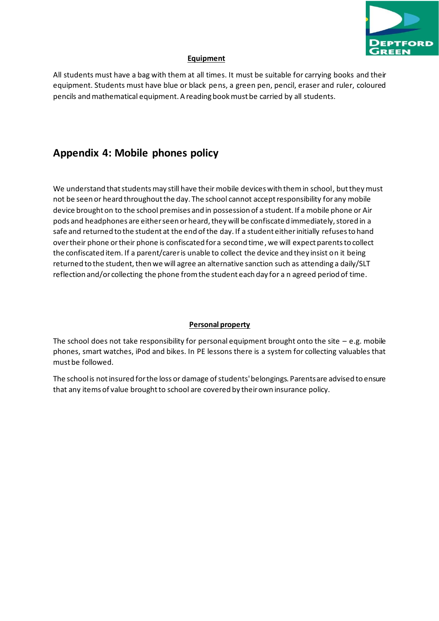

#### **Equipment**

All students must have a bag with them at all times. It must be suitable for carrying books and their equipment. Students must have blue or black pens, a green pen, pencil, eraser and ruler, coloured pencils and mathematical equipment. A reading book must be carried by all students.

### **Appendix 4: Mobile phones policy**

We understand that students may still have their mobile devices with them in school, but they must not be seen or heard throughout the day. The school cannot accept responsibility for any mobile device brought on to the school premises and in possession of a student. If a mobile phone or Air pods and headphones are either seen or heard, they will be confiscated immediately, stored in a safe and returned to the student at the end of the day. If a student either initially refuses to hand over their phone or their phone is confiscated for a second time, we will expect parents to collect the confiscated item. If a parent/carer is unable to collect the device and they insist on it being returned to the student, then we will agree an alternative sanction such as attending a daily/SLT reflection and/or collecting the phone from the student each day for a n agreed period of time.

#### **Personal property**

The school does not take responsibility for personal equipment brought onto the site  $-$  e.g. mobile phones, smart watches, iPod and bikes. In PE lessons there is a system for collecting valuables that must be followed.

The school is not insured for the loss or damage of students' belongings. Parents are advised to ensure that any items of value brought to school are covered by their own insurance policy.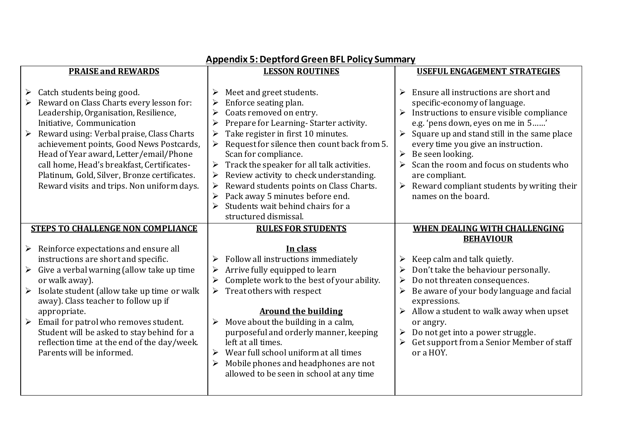| <b>PRAISE and REWARDS</b> |                                                                                                                                                                                                                                                                                                                                                                                                                                              | <b>LESSON ROUTINES</b>                                                  |                                                                                                                                                                                                                                                                                                                                                                                                                                                 | <b>USEFUL ENGAGEMENT STRATEGIES</b>                                     |                                                                                                                                                                                                                                                                                                                                                                                                                       |  |
|---------------------------|----------------------------------------------------------------------------------------------------------------------------------------------------------------------------------------------------------------------------------------------------------------------------------------------------------------------------------------------------------------------------------------------------------------------------------------------|-------------------------------------------------------------------------|-------------------------------------------------------------------------------------------------------------------------------------------------------------------------------------------------------------------------------------------------------------------------------------------------------------------------------------------------------------------------------------------------------------------------------------------------|-------------------------------------------------------------------------|-----------------------------------------------------------------------------------------------------------------------------------------------------------------------------------------------------------------------------------------------------------------------------------------------------------------------------------------------------------------------------------------------------------------------|--|
|                           |                                                                                                                                                                                                                                                                                                                                                                                                                                              |                                                                         |                                                                                                                                                                                                                                                                                                                                                                                                                                                 |                                                                         |                                                                                                                                                                                                                                                                                                                                                                                                                       |  |
|                           | $\triangleright$ Catch students being good.<br>Reward on Class Charts every lesson for:<br>Leadership, Organisation, Resilience,<br>Initiative, Communication<br>Reward using: Verbal praise, Class Charts<br>achievement points, Good News Postcards,<br>Head of Year award, Letter/email/Phone<br>call home, Head's breakfast, Certificates-<br>Platinum, Gold, Silver, Bronze certificates.<br>Reward visits and trips. Non uniform days. | $\blacktriangleright$<br>$\blacktriangleright$<br>$\blacktriangleright$ | Meet and greet students.<br>Enforce seating plan.<br>Coats removed on entry.<br>Prepare for Learning-Starter activity.<br>Take register in first 10 minutes.<br>Request for silence then count back from 5.<br>Scan for compliance.<br>Track the speaker for all talk activities.<br>Review activity to check understanding.<br>Reward students points on Class Charts.<br>Pack away 5 minutes before end.<br>Students wait behind chairs for a | $\blacktriangleright$<br>$\blacktriangleright$<br>$\blacktriangleright$ | Ensure all instructions are short and<br>specific-economy of language.<br>Instructions to ensure visible compliance<br>e.g. 'pens down, eyes on me in 5'<br>Square up and stand still in the same place<br>every time you give an instruction.<br>Be seen looking.<br>Scan the room and focus on students who<br>are compliant.<br>$\triangleright$ Reward compliant students by writing their<br>names on the board. |  |
|                           |                                                                                                                                                                                                                                                                                                                                                                                                                                              |                                                                         | structured dismissal.                                                                                                                                                                                                                                                                                                                                                                                                                           |                                                                         |                                                                                                                                                                                                                                                                                                                                                                                                                       |  |
|                           | <b>STEPS TO CHALLENGE NON COMPLIANCE</b>                                                                                                                                                                                                                                                                                                                                                                                                     |                                                                         | <b>RULES FOR STUDENTS</b>                                                                                                                                                                                                                                                                                                                                                                                                                       |                                                                         | <b>WHEN DEALING WITH CHALLENGING</b>                                                                                                                                                                                                                                                                                                                                                                                  |  |
|                           |                                                                                                                                                                                                                                                                                                                                                                                                                                              |                                                                         |                                                                                                                                                                                                                                                                                                                                                                                                                                                 |                                                                         | <b>BEHAVIOUR</b>                                                                                                                                                                                                                                                                                                                                                                                                      |  |
|                           | $\triangleright$ Reinforce expectations and ensure all                                                                                                                                                                                                                                                                                                                                                                                       |                                                                         | In class                                                                                                                                                                                                                                                                                                                                                                                                                                        |                                                                         |                                                                                                                                                                                                                                                                                                                                                                                                                       |  |
|                           | instructions are short and specific.                                                                                                                                                                                                                                                                                                                                                                                                         |                                                                         | $\triangleright$ Follow all instructions immediately                                                                                                                                                                                                                                                                                                                                                                                            | ➤                                                                       | Keep calm and talk quietly.                                                                                                                                                                                                                                                                                                                                                                                           |  |
|                           | $\triangleright$ Give a verbal warning (allow take up time                                                                                                                                                                                                                                                                                                                                                                                   |                                                                         | Arrive fully equipped to learn                                                                                                                                                                                                                                                                                                                                                                                                                  |                                                                         | Don't take the behaviour personally.                                                                                                                                                                                                                                                                                                                                                                                  |  |
|                           | or walk away).                                                                                                                                                                                                                                                                                                                                                                                                                               |                                                                         | Complete work to the best of your ability.                                                                                                                                                                                                                                                                                                                                                                                                      |                                                                         | Do not threaten consequences.                                                                                                                                                                                                                                                                                                                                                                                         |  |
| $\blacktriangleright$     | Isolate student (allow take up time or walk<br>away). Class teacher to follow up if                                                                                                                                                                                                                                                                                                                                                          | $\blacktriangleright$                                                   | Treat others with respect                                                                                                                                                                                                                                                                                                                                                                                                                       | ➤                                                                       | Be aware of your body language and facial<br>expressions.                                                                                                                                                                                                                                                                                                                                                             |  |
|                           | appropriate.                                                                                                                                                                                                                                                                                                                                                                                                                                 |                                                                         | <b>Around the building</b>                                                                                                                                                                                                                                                                                                                                                                                                                      |                                                                         | Allow a student to walk away when upset                                                                                                                                                                                                                                                                                                                                                                               |  |
|                           | Email for patrol who removes student.<br>Student will be asked to stay behind for a<br>reflection time at the end of the day/week.<br>Parents will be informed.                                                                                                                                                                                                                                                                              | $\blacktriangleright$                                                   | $\triangleright$ Move about the building in a calm,<br>purposeful and orderly manner, keeping<br>left at all times.<br>Wear full school uniform at all times<br>Mobile phones and headphones are not<br>allowed to be seen in school at any time                                                                                                                                                                                                |                                                                         | or angry.<br>Do not get into a power struggle.<br>Get support from a Senior Member of staff<br>or a HOY.                                                                                                                                                                                                                                                                                                              |  |

### **Appendix 5: Deptford Green BFL Policy Summary**